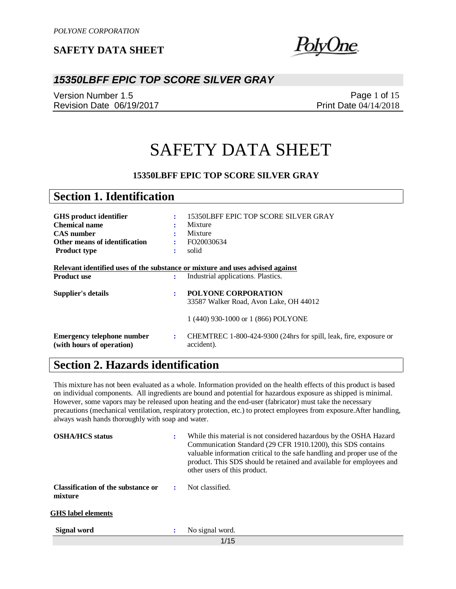

### *15350LBFF EPIC TOP SCORE SILVER GRAY*

Version Number 1.5 Revision Date 06/19/2017

Page 1 of 15 Print Date 04/14/2018

# SAFETY DATA SHEET

### **15350LBFF EPIC TOP SCORE SILVER GRAY**

| <b>Section 1. Identification</b>                                              |                      |                                                                                 |
|-------------------------------------------------------------------------------|----------------------|---------------------------------------------------------------------------------|
|                                                                               |                      |                                                                                 |
| GHS product identifier                                                        | ÷                    | 15350LBFF EPIC TOP SCORE SILVER GRAY                                            |
| <b>Chemical name</b>                                                          |                      | Mixture                                                                         |
| <b>CAS</b> number                                                             | ٠                    | Mixture                                                                         |
| Other means of identification                                                 | ÷                    | FO20030634                                                                      |
| <b>Product type</b>                                                           | $\bullet$            | solid                                                                           |
|                                                                               |                      |                                                                                 |
| Relevant identified uses of the substance or mixture and uses advised against |                      |                                                                                 |
| <b>Product use</b>                                                            | ÷                    | Industrial applications. Plastics.                                              |
| Supplier's details                                                            | $\bullet$            | <b>POLYONE CORPORATION</b>                                                      |
|                                                                               |                      | 33587 Walker Road, Avon Lake, OH 44012                                          |
|                                                                               |                      | 1 (440) 930-1000 or 1 (866) POLYONE                                             |
| <b>Emergency telephone number</b><br>(with hours of operation)                | $\ddot{\phantom{a}}$ | CHEMTREC 1-800-424-9300 (24hrs for spill, leak, fire, exposure or<br>accident). |

## **Section 2. Hazards identification**

This mixture has not been evaluated as a whole. Information provided on the health effects of this product is based on individual components. All ingredients are bound and potential for hazardous exposure as shipped is minimal. However, some vapors may be released upon heating and the end-user (fabricator) must take the necessary precautions (mechanical ventilation, respiratory protection, etc.) to protect employees from exposure.After handling, always wash hands thoroughly with soap and water.

| <b>OSHA/HCS</b> status                        |   | While this material is not considered hazardous by the OSHA Hazard<br>Communication Standard (29 CFR 1910.1200), this SDS contains<br>valuable information critical to the safe handling and proper use of the<br>product. This SDS should be retained and available for employees and<br>other users of this product. |
|-----------------------------------------------|---|------------------------------------------------------------------------------------------------------------------------------------------------------------------------------------------------------------------------------------------------------------------------------------------------------------------------|
| Classification of the substance or<br>mixture | ÷ | Not classified.                                                                                                                                                                                                                                                                                                        |
| <b>GHS</b> label elements                     |   |                                                                                                                                                                                                                                                                                                                        |
| Signal word                                   | : | No signal word.                                                                                                                                                                                                                                                                                                        |
|                                               |   | 1/15                                                                                                                                                                                                                                                                                                                   |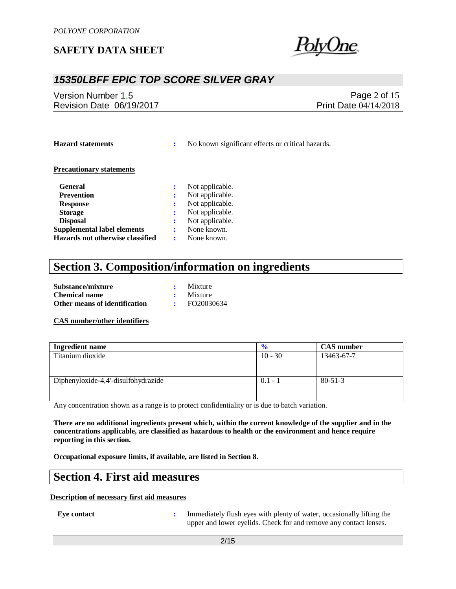

## *15350LBFF EPIC TOP SCORE SILVER GRAY*

Version Number 1.5 Revision Date 06/19/2017

Page 2 of 15 Print Date 04/14/2018

**Hazard statements :** No known significant effects or critical hazards.

#### **Precautionary statements**

| <b>General</b>                     |   | Not applicable. |
|------------------------------------|---|-----------------|
| <b>Prevention</b>                  |   | Not applicable. |
| <b>Response</b>                    | ÷ | Not applicable. |
| <b>Storage</b>                     |   | Not applicable. |
| <b>Disposal</b>                    |   | Not applicable. |
| <b>Supplemental label elements</b> |   | None known.     |
| Hazards not otherwise classified   |   | None known.     |

## **Section 3. Composition/information on ingredients**

| Substance/mixture             | Mixture         |
|-------------------------------|-----------------|
| <b>Chemical name</b>          | $\cdot$ Mixture |
| Other means of identification | FO20030634      |

#### **CAS number/other identifiers**

| <b>Ingredient name</b>              | $\frac{6}{6}$ | <b>CAS</b> number |
|-------------------------------------|---------------|-------------------|
| Titanium dioxide                    | $10 - 30$     | 13463-67-7        |
|                                     |               |                   |
|                                     |               |                   |
| Diphenyloxide-4,4'-disulfohydrazide | $0.1 - 1$     | $80 - 51 - 3$     |
|                                     |               |                   |
|                                     |               |                   |

Any concentration shown as a range is to protect confidentiality or is due to batch variation.

**There are no additional ingredients present which, within the current knowledge of the supplier and in the concentrations applicable, are classified as hazardous to health or the environment and hence require reporting in this section.**

**Occupational exposure limits, if available, are listed in Section 8.**

### **Section 4. First aid measures**

#### **Description of necessary first aid measures**

**Eye contact :** Immediately flush eyes with plenty of water, occasionally lifting the upper and lower eyelids. Check for and remove any contact lenses.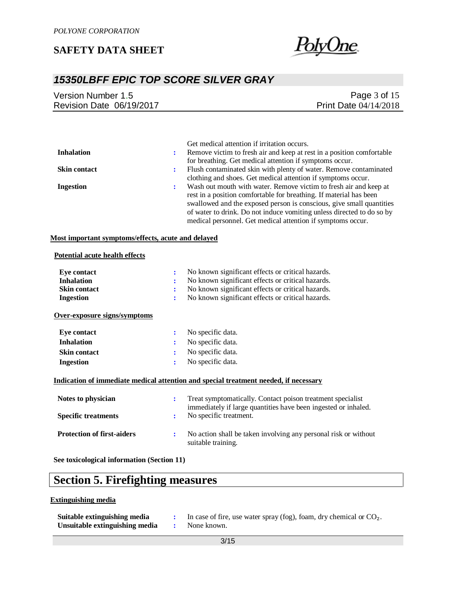

## *15350LBFF EPIC TOP SCORE SILVER GRAY*

| Version Number 1.5       | Page $3$ of $15$             |
|--------------------------|------------------------------|
| Revision Date 06/19/2017 | <b>Print Date 04/14/2018</b> |
|                          |                              |

|                     |   | Get medical attention if irritation occurs.                           |
|---------------------|---|-----------------------------------------------------------------------|
| <b>Inhalation</b>   | ÷ | Remove victim to fresh air and keep at rest in a position comfortable |
|                     |   | for breathing. Get medical attention if symptoms occur.               |
| <b>Skin contact</b> |   | Flush contaminated skin with plenty of water. Remove contaminated     |
|                     |   | clothing and shoes. Get medical attention if symptoms occur.          |
| <b>Ingestion</b>    |   | Wash out mouth with water. Remove victim to fresh air and keep at     |
|                     |   | rest in a position comfortable for breathing. If material has been    |
|                     |   | swallowed and the exposed person is conscious, give small quantities  |
|                     |   | of water to drink. Do not induce vomiting unless directed to do so by |
|                     |   | medical personnel. Get medical attention if symptoms occur.           |

### **Most important symptoms/effects, acute and delayed**

#### **Potential acute health effects**

| Eye contact                       | ÷ | No known significant effects or critical hazards.                                                                            |
|-----------------------------------|---|------------------------------------------------------------------------------------------------------------------------------|
| <b>Inhalation</b>                 |   | No known significant effects or critical hazards.                                                                            |
| <b>Skin contact</b>               | ÷ | No known significant effects or critical hazards.                                                                            |
| <b>Ingestion</b>                  | ÷ | No known significant effects or critical hazards.                                                                            |
| Over-exposure signs/symptoms      |   |                                                                                                                              |
| Eye contact                       | ÷ | No specific data.                                                                                                            |
| <b>Inhalation</b>                 | ÷ | No specific data.                                                                                                            |
| <b>Skin contact</b>               | ÷ | No specific data.                                                                                                            |
| <b>Ingestion</b>                  | ÷ | No specific data.                                                                                                            |
|                                   |   | Indication of immediate medical attention and special treatment needed, if necessary                                         |
| Notes to physician                | ÷ | Treat symptomatically. Contact poison treatment specialist<br>immediately if large quantities have been ingested or inhaled. |
| <b>Specific treatments</b>        | ÷ | No specific treatment.                                                                                                       |
| <b>Protection of first-aiders</b> | ÷ | No action shall be taken involving any personal risk or without<br>suitable training.                                        |

**See toxicological information (Section 11)**

# **Section 5. Firefighting measures**

#### **Extinguishing media**

| Suitable extinguishing media   | In case of fire, use water spray (fog), foam, dry chemical or $CO2$ . |
|--------------------------------|-----------------------------------------------------------------------|
| Unsuitable extinguishing media | None known.                                                           |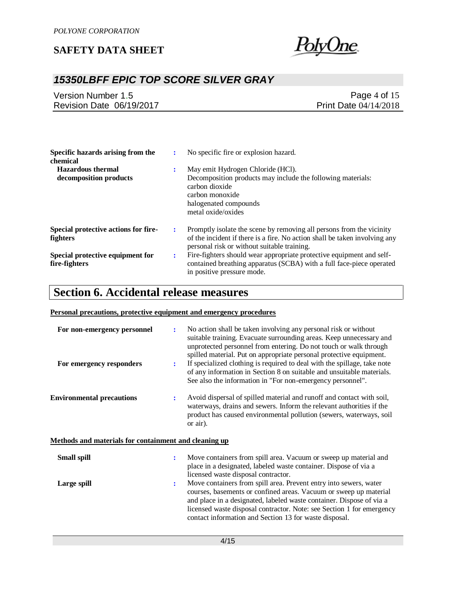

## *15350LBFF EPIC TOP SCORE SILVER GRAY*

| Version Number 1.5       | Page 4 of $15$               |
|--------------------------|------------------------------|
| Revision Date 06/19/2017 | <b>Print Date 04/14/2018</b> |

| Specific hazards arising from the<br>chemical      |   | No specific fire or explosion hazard.                                                                                                                                                             |
|----------------------------------------------------|---|---------------------------------------------------------------------------------------------------------------------------------------------------------------------------------------------------|
| <b>Hazardous thermal</b><br>decomposition products |   | May emit Hydrogen Chloride (HCl).<br>Decomposition products may include the following materials:<br>carbon dioxide<br>carbon monoxide<br>halogenated compounds<br>metal oxide/oxides              |
| Special protective actions for fire-<br>fighters   |   | Promptly isolate the scene by removing all persons from the vicinity<br>of the incident if there is a fire. No action shall be taken involving any<br>personal risk or without suitable training. |
| Special protective equipment for<br>fire-fighters  | ٠ | Fire-fighters should wear appropriate protective equipment and self-<br>contained breathing apparatus (SCBA) with a full face-piece operated<br>in positive pressure mode.                        |

## **Section 6. Accidental release measures**

### **Personal precautions, protective equipment and emergency procedures**

| For non-emergency personnel                           | ÷              | No action shall be taken involving any personal risk or without<br>suitable training. Evacuate surrounding areas. Keep unnecessary and<br>unprotected personnel from entering. Do not touch or walk through<br>spilled material. Put on appropriate personal protective equipment.                                                                |
|-------------------------------------------------------|----------------|---------------------------------------------------------------------------------------------------------------------------------------------------------------------------------------------------------------------------------------------------------------------------------------------------------------------------------------------------|
| For emergency responders                              | $\ddot{\cdot}$ | If specialized clothing is required to deal with the spillage, take note<br>of any information in Section 8 on suitable and unsuitable materials.<br>See also the information in "For non-emergency personnel".                                                                                                                                   |
| <b>Environmental precautions</b>                      | ÷              | Avoid dispersal of spilled material and runoff and contact with soil,<br>waterways, drains and sewers. Inform the relevant authorities if the<br>product has caused environmental pollution (sewers, waterways, soil<br>or air).                                                                                                                  |
| Methods and materials for containment and cleaning up |                |                                                                                                                                                                                                                                                                                                                                                   |
| <b>Small spill</b>                                    | ÷              | Move containers from spill area. Vacuum or sweep up material and<br>place in a designated, labeled waste container. Dispose of via a<br>licensed waste disposal contractor.                                                                                                                                                                       |
| Large spill                                           | $\ddot{\cdot}$ | Move containers from spill area. Prevent entry into sewers, water<br>courses, basements or confined areas. Vacuum or sweep up material<br>and place in a designated, labeled waste container. Dispose of via a<br>licensed waste disposal contractor. Note: see Section 1 for emergency<br>contact information and Section 13 for waste disposal. |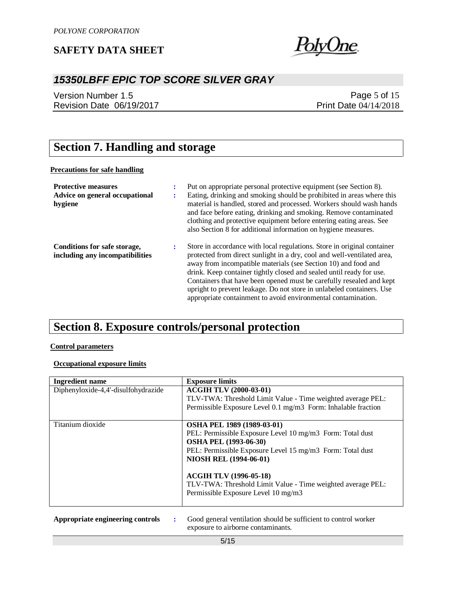

## *15350LBFF EPIC TOP SCORE SILVER GRAY*

Version Number 1.5 Revision Date 06/19/2017

Page 5 of 15 Print Date 04/14/2018

# **Section 7. Handling and storage**

### **Precautions for safe handling**

| <b>Protective measures</b><br>Advice on general occupational<br>hygiene |   | Put on appropriate personal protective equipment (see Section 8).<br>Eating, drinking and smoking should be prohibited in areas where this<br>material is handled, stored and processed. Workers should wash hands<br>and face before eating, drinking and smoking. Remove contaminated<br>clothing and protective equipment before entering eating areas. See<br>also Section 8 for additional information on hygiene measures.                                                                               |
|-------------------------------------------------------------------------|---|----------------------------------------------------------------------------------------------------------------------------------------------------------------------------------------------------------------------------------------------------------------------------------------------------------------------------------------------------------------------------------------------------------------------------------------------------------------------------------------------------------------|
| Conditions for safe storage,<br>including any incompatibilities         | ÷ | Store in accordance with local regulations. Store in original container<br>protected from direct sunlight in a dry, cool and well-ventilated area,<br>away from incompatible materials (see Section 10) and food and<br>drink. Keep container tightly closed and sealed until ready for use.<br>Containers that have been opened must be carefully resealed and kept<br>upright to prevent leakage. Do not store in unlabeled containers. Use<br>appropriate containment to avoid environmental contamination. |

## **Section 8. Exposure controls/personal protection**

#### **Control parameters**

### **Occupational exposure limits**

| <b>Ingredient name</b>              | <b>Exposure limits</b>                                                                                                                                                                                                                                                                                                                                              |
|-------------------------------------|---------------------------------------------------------------------------------------------------------------------------------------------------------------------------------------------------------------------------------------------------------------------------------------------------------------------------------------------------------------------|
| Diphenyloxide-4,4'-disulfohydrazide | <b>ACGIH TLV (2000-03-01)</b><br>TLV-TWA: Threshold Limit Value - Time weighted average PEL:<br>Permissible Exposure Level 0.1 mg/m3 Form: Inhalable fraction                                                                                                                                                                                                       |
| Titanium dioxide                    | <b>OSHA PEL 1989 (1989-03-01)</b><br>PEL: Permissible Exposure Level 10 mg/m3 Form: Total dust<br><b>OSHA PEL (1993-06-30)</b><br>PEL: Permissible Exposure Level 15 mg/m3 Form: Total dust<br><b>NIOSH REL (1994-06-01)</b><br><b>ACGIH TLV (1996-05-18)</b><br>TLV-TWA: Threshold Limit Value - Time weighted average PEL:<br>Permissible Exposure Level 10 mg/m3 |
|                                     |                                                                                                                                                                                                                                                                                                                                                                     |

**Appropriate engineering controls :** Good general ventilation should be sufficient to control worker exposure to airborne contaminants.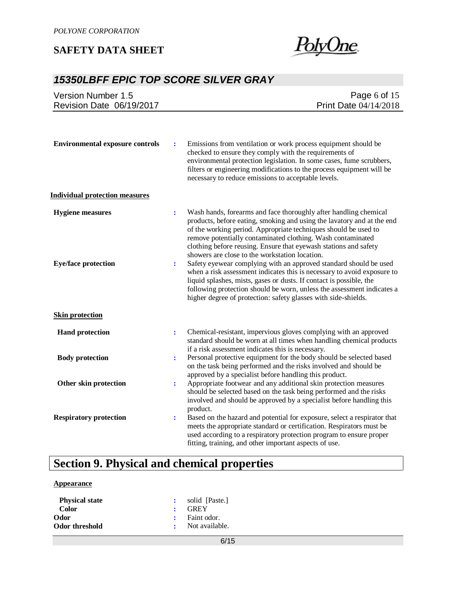

## *15350LBFF EPIC TOP SCORE SILVER GRAY*

| <b>Version Number 1.5</b><br>Revision Date 06/19/2017 |                                  | Page 6 of 15<br>Print Date 04/14/2018                                                                                                                                                                                                                                                                                                                                                                                                                                                                                                                                                                                     |
|-------------------------------------------------------|----------------------------------|---------------------------------------------------------------------------------------------------------------------------------------------------------------------------------------------------------------------------------------------------------------------------------------------------------------------------------------------------------------------------------------------------------------------------------------------------------------------------------------------------------------------------------------------------------------------------------------------------------------------------|
| <b>Environmental exposure controls</b>                | $\ddot{\cdot}$                   | Emissions from ventilation or work process equipment should be<br>checked to ensure they comply with the requirements of<br>environmental protection legislation. In some cases, fume scrubbers,<br>filters or engineering modifications to the process equipment will be<br>necessary to reduce emissions to acceptable levels.                                                                                                                                                                                                                                                                                          |
| <b>Individual protection measures</b>                 |                                  |                                                                                                                                                                                                                                                                                                                                                                                                                                                                                                                                                                                                                           |
| <b>Hygiene measures</b><br><b>Eye/face protection</b> | $\ddot{\cdot}$<br>$\ddot{\cdot}$ | Wash hands, forearms and face thoroughly after handling chemical<br>products, before eating, smoking and using the lavatory and at the end<br>of the working period. Appropriate techniques should be used to<br>remove potentially contaminated clothing. Wash contaminated<br>clothing before reusing. Ensure that eyewash stations and safety<br>showers are close to the workstation location.<br>Safety eyewear complying with an approved standard should be used<br>when a risk assessment indicates this is necessary to avoid exposure to<br>liquid splashes, mists, gases or dusts. If contact is possible, the |
|                                                       |                                  | following protection should be worn, unless the assessment indicates a<br>higher degree of protection: safety glasses with side-shields.                                                                                                                                                                                                                                                                                                                                                                                                                                                                                  |
| <b>Skin protection</b>                                |                                  |                                                                                                                                                                                                                                                                                                                                                                                                                                                                                                                                                                                                                           |
| <b>Hand protection</b>                                | $\ddot{\cdot}$                   | Chemical-resistant, impervious gloves complying with an approved<br>standard should be worn at all times when handling chemical products<br>if a risk assessment indicates this is necessary.                                                                                                                                                                                                                                                                                                                                                                                                                             |
| <b>Body protection</b>                                | $\ddot{\cdot}$                   | Personal protective equipment for the body should be selected based<br>on the task being performed and the risks involved and should be<br>approved by a specialist before handling this product.                                                                                                                                                                                                                                                                                                                                                                                                                         |
| Other skin protection                                 | $\ddot{\cdot}$                   | Appropriate footwear and any additional skin protection measures<br>should be selected based on the task being performed and the risks<br>involved and should be approved by a specialist before handling this<br>product.                                                                                                                                                                                                                                                                                                                                                                                                |
| <b>Respiratory protection</b>                         | $\ddot{\cdot}$                   | Based on the hazard and potential for exposure, select a respirator that<br>meets the appropriate standard or certification. Respirators must be<br>used according to a respiratory protection program to ensure proper<br>fitting, training, and other important aspects of use.                                                                                                                                                                                                                                                                                                                                         |

# **Section 9. Physical and chemical properties**

### **Appearance**

| <b>Physical state</b> | : solid [Paste.] |
|-----------------------|------------------|
| Color                 | $\cdot$ GREY     |
| Odor                  | : Faint odor.    |
| Odor threshold        | : Not available. |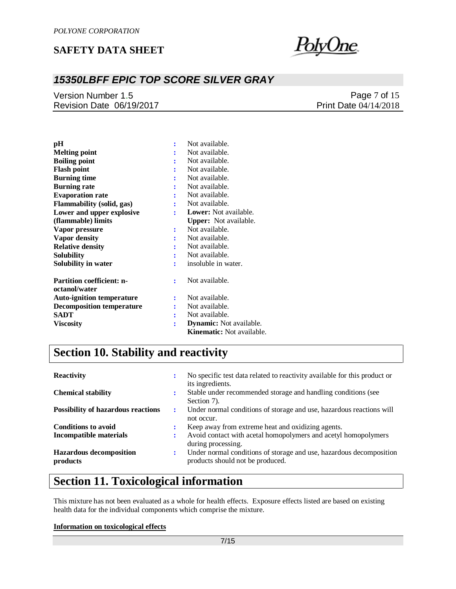

## *15350LBFF EPIC TOP SCORE SILVER GRAY*

Version Number 1.5 Revision Date 06/19/2017

Page 7 of 15 Print Date 04/14/2018

| pН                                                |   | Not available.                 |
|---------------------------------------------------|---|--------------------------------|
| <b>Melting point</b>                              |   | Not available.                 |
| <b>Boiling point</b>                              |   | Not available.                 |
| <b>Flash point</b>                                |   | Not available.                 |
| <b>Burning time</b>                               |   | Not available.                 |
| <b>Burning rate</b>                               |   | Not available.                 |
| <b>Evaporation rate</b>                           |   | Not available.                 |
| <b>Flammability (solid, gas)</b>                  | ÷ | Not available.                 |
| Lower and upper explosive                         |   | <b>Lower:</b> Not available.   |
| (flammable) limits                                |   | <b>Upper:</b> Not available.   |
| Vapor pressure                                    | ÷ | Not available.                 |
| Vapor density                                     |   | Not available.                 |
| <b>Relative density</b>                           |   | Not available.                 |
| <b>Solubility</b>                                 |   | Not available.                 |
| Solubility in water                               |   | insoluble in water.            |
| <b>Partition coefficient: n-</b><br>octanol/water | ÷ | Not available.                 |
| <b>Auto-ignition temperature</b>                  | ÷ | Not available.                 |
| <b>Decomposition temperature</b>                  |   | Not available.                 |
| SADT                                              |   | Not available.                 |
| <b>Viscosity</b>                                  | ÷ | <b>Dynamic:</b> Not available. |
|                                                   |   | Kinematic: Not available.      |

# **Section 10. Stability and reactivity**

| <b>Reactivity</b>                          |   | No specific test data related to reactivity available for this product or<br>its ingredients.           |
|--------------------------------------------|---|---------------------------------------------------------------------------------------------------------|
| <b>Chemical stability</b>                  | ٠ | Stable under recommended storage and handling conditions (see<br>Section 7).                            |
| <b>Possibility of hazardous reactions</b>  | : | Under normal conditions of storage and use, hazardous reactions will<br>not occur.                      |
| <b>Conditions to avoid</b>                 |   | Keep away from extreme heat and oxidizing agents.                                                       |
| <b>Incompatible materials</b>              |   | Avoid contact with acetal homopolymers and acetyl homopolymers<br>during processing.                    |
| <b>Hazardous decomposition</b><br>products | : | Under normal conditions of storage and use, hazardous decomposition<br>products should not be produced. |

## **Section 11. Toxicological information**

This mixture has not been evaluated as a whole for health effects. Exposure effects listed are based on existing health data for the individual components which comprise the mixture.

#### **Information on toxicological effects**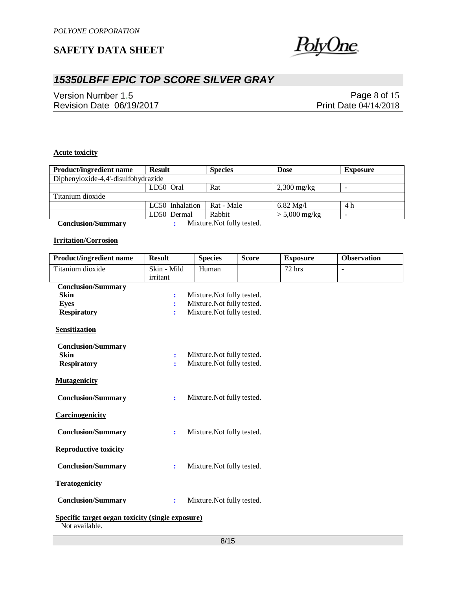

## *15350LBFF EPIC TOP SCORE SILVER GRAY*

Version Number 1.5 Revision Date 06/19/2017

Page 8 of 15 Print Date 04/14/2018

### **Acute toxicity**

| <b>Product/ingredient name</b>      | <b>Result</b>   | <b>Species</b>           | <b>Dose</b>         | <b>Exposure</b>          |  |  |
|-------------------------------------|-----------------|--------------------------|---------------------|--------------------------|--|--|
| Diphenyloxide-4,4'-disulfohydrazide |                 |                          |                     |                          |  |  |
|                                     | LD50 Oral       | Rat                      | $2,300$ mg/kg       |                          |  |  |
| Titanium dioxide                    |                 |                          |                     |                          |  |  |
|                                     | LC50 Inhalation | Rat - Male               | $6.82 \text{ Mg}/l$ | 4 h                      |  |  |
|                                     | LD50 Dermal     | Rabbit                   | $> 5,000$ mg/kg     | $\overline{\phantom{a}}$ |  |  |
| Conglucion/Cummony                  |                 | Mixture Not fully tooted |                     |                          |  |  |

 **Conclusion/Summary :** Mixture.Not fully tested.

#### **Irritation/Corrosion**

| <b>Product/ingredient name</b>                                            | <b>Result</b>  | <b>Species</b>             | <b>Score</b> | <b>Exposure</b> | <b>Observation</b> |
|---------------------------------------------------------------------------|----------------|----------------------------|--------------|-----------------|--------------------|
| Titanium dioxide                                                          | Skin - Mild    | Human                      |              | 72 hrs          | ÷,                 |
|                                                                           | irritant       |                            |              |                 |                    |
| <b>Conclusion/Summary</b>                                                 |                |                            |              |                 |                    |
| <b>Skin</b>                                                               | $\ddot{\cdot}$ | Mixture. Not fully tested. |              |                 |                    |
| <b>Eyes</b>                                                               | ÷              | Mixture. Not fully tested. |              |                 |                    |
| <b>Respiratory</b>                                                        | ÷              | Mixture. Not fully tested. |              |                 |                    |
| <b>Sensitization</b>                                                      |                |                            |              |                 |                    |
| <b>Conclusion/Summary</b>                                                 |                |                            |              |                 |                    |
| <b>Skin</b>                                                               | $\ddot{\cdot}$ | Mixture. Not fully tested. |              |                 |                    |
| <b>Respiratory</b>                                                        | $\ddot{\cdot}$ | Mixture. Not fully tested. |              |                 |                    |
| <b>Mutagenicity</b>                                                       |                |                            |              |                 |                    |
| <b>Conclusion/Summary</b>                                                 | ÷              | Mixture. Not fully tested. |              |                 |                    |
| <b>Carcinogenicity</b>                                                    |                |                            |              |                 |                    |
| <b>Conclusion/Summary</b>                                                 | $\ddot{\cdot}$ | Mixture. Not fully tested. |              |                 |                    |
| <b>Reproductive toxicity</b>                                              |                |                            |              |                 |                    |
| <b>Conclusion/Summary</b>                                                 | ÷              | Mixture. Not fully tested. |              |                 |                    |
| <b>Teratogenicity</b>                                                     |                |                            |              |                 |                    |
| <b>Conclusion/Summary</b>                                                 | ÷              | Mixture. Not fully tested. |              |                 |                    |
| <b>Specific target organ toxicity (single exposure)</b><br>Not available. |                |                            |              |                 |                    |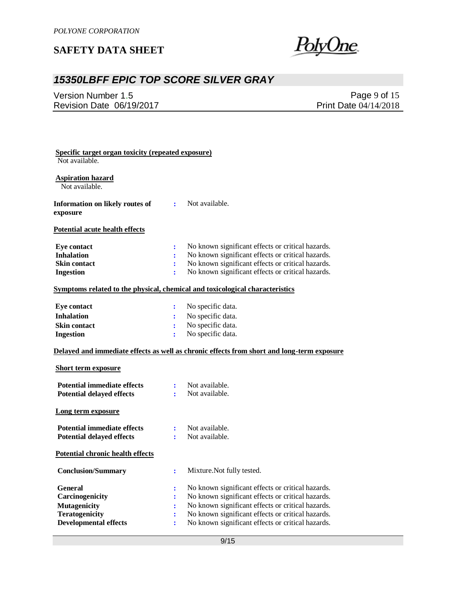

## *15350LBFF EPIC TOP SCORE SILVER GRAY*

Version Number 1.5 Revision Date 06/19/2017

Page 9 of 15 Print Date 04/14/2018

| Specific target organ toxicity (repeated exposure)<br>Not available. |                |                                                                                            |
|----------------------------------------------------------------------|----------------|--------------------------------------------------------------------------------------------|
| <b>Aspiration hazard</b>                                             |                |                                                                                            |
| Not available.                                                       |                |                                                                                            |
| Information on likely routes of                                      | $\ddot{\cdot}$ | Not available.                                                                             |
| exposure                                                             |                |                                                                                            |
| Potential acute health effects                                       |                |                                                                                            |
| <b>Eye contact</b>                                                   | ÷              | No known significant effects or critical hazards.                                          |
| <b>Inhalation</b>                                                    | ÷              | No known significant effects or critical hazards.                                          |
| Skin contact                                                         | ÷              | No known significant effects or critical hazards.                                          |
| <b>Ingestion</b>                                                     | ÷              | No known significant effects or critical hazards.                                          |
|                                                                      |                | Symptoms related to the physical, chemical and toxicological characteristics               |
| <b>Eye contact</b>                                                   | ÷              | No specific data.                                                                          |
| <b>Inhalation</b>                                                    | ÷              | No specific data.                                                                          |
| <b>Skin contact</b>                                                  | $\ddot{\cdot}$ | No specific data.                                                                          |
| <b>Ingestion</b>                                                     | ÷              | No specific data.                                                                          |
|                                                                      |                | Delayed and immediate effects as well as chronic effects from short and long-term exposure |
|                                                                      |                |                                                                                            |
| <b>Short term exposure</b>                                           |                |                                                                                            |
| <b>Potential immediate effects</b>                                   | ÷              | Not available.                                                                             |
| <b>Potential delayed effects</b>                                     | ÷.             | Not available.                                                                             |
| Long term exposure                                                   |                |                                                                                            |
| <b>Potential immediate effects</b>                                   | $\ddot{\cdot}$ | Not available.                                                                             |
| <b>Potential delayed effects</b>                                     | ÷              | Not available.                                                                             |
| <b>Potential chronic health effects</b>                              |                |                                                                                            |
| <b>Conclusion/Summary</b>                                            | $\ddot{\cdot}$ | Mixture. Not fully tested.                                                                 |
| General                                                              | $\ddot{\cdot}$ | No known significant effects or critical hazards.                                          |
| Carcinogenicity                                                      | $\ddot{\cdot}$ | No known significant effects or critical hazards.                                          |
| <b>Mutagenicity</b>                                                  | $\ddot{\cdot}$ | No known significant effects or critical hazards.                                          |
| <b>Teratogenicity</b>                                                | $\ddot{\cdot}$ | No known significant effects or critical hazards.                                          |
| <b>Developmental effects</b>                                         |                | No known significant effects or critical hazards.                                          |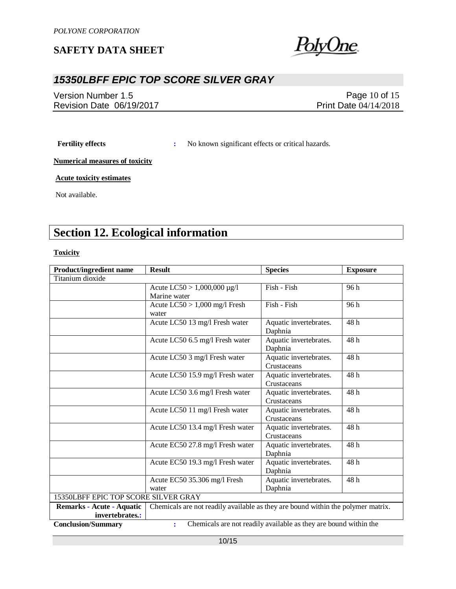

## *15350LBFF EPIC TOP SCORE SILVER GRAY*

Version Number 1.5 Revision Date 06/19/2017

Page 10 of 15 Print Date 04/14/2018

**Fertility effects :** No known significant effects or critical hazards.

**Numerical measures of toxicity**

**Acute toxicity estimates**

Not available.

## **Section 12. Ecological information**

#### **Toxicity**

| <b>Product/ingredient name</b>       | <b>Result</b><br><b>Species</b><br><b>Exposure</b>                               |                                                                  |      |  |  |  |  |
|--------------------------------------|----------------------------------------------------------------------------------|------------------------------------------------------------------|------|--|--|--|--|
| Titanium dioxide                     |                                                                                  |                                                                  |      |  |  |  |  |
|                                      | Acute $LC50 > 1,000,000 \mu g/l$                                                 | Fish - Fish                                                      | 96 h |  |  |  |  |
|                                      | Marine water                                                                     |                                                                  |      |  |  |  |  |
|                                      | Acute $LC50 > 1,000$ mg/l Fresh                                                  | Fish - Fish                                                      | 96 h |  |  |  |  |
|                                      | water                                                                            |                                                                  |      |  |  |  |  |
|                                      | Acute LC50 13 mg/l Fresh water                                                   | Aquatic invertebrates.                                           | 48h  |  |  |  |  |
|                                      |                                                                                  | Daphnia                                                          |      |  |  |  |  |
|                                      | Acute LC50 6.5 mg/l Fresh water                                                  | Aquatic invertebrates.                                           | 48h  |  |  |  |  |
|                                      |                                                                                  | Daphnia                                                          |      |  |  |  |  |
|                                      | Acute LC50 3 mg/l Fresh water                                                    | Aquatic invertebrates.                                           | 48h  |  |  |  |  |
|                                      |                                                                                  | Crustaceans                                                      |      |  |  |  |  |
|                                      | Acute LC50 15.9 mg/l Fresh water                                                 | Aquatic invertebrates.                                           | 48h  |  |  |  |  |
|                                      |                                                                                  | Crustaceans                                                      |      |  |  |  |  |
|                                      | Acute LC50 3.6 mg/l Fresh water                                                  | Aquatic invertebrates.                                           | 48h  |  |  |  |  |
|                                      |                                                                                  | Crustaceans                                                      |      |  |  |  |  |
|                                      | Acute LC50 11 mg/l Fresh water                                                   | Aquatic invertebrates.                                           | 48 h |  |  |  |  |
|                                      |                                                                                  | Crustaceans                                                      |      |  |  |  |  |
|                                      | Acute LC50 13.4 mg/l Fresh water                                                 | Aquatic invertebrates.                                           | 48h  |  |  |  |  |
|                                      |                                                                                  | Crustaceans                                                      |      |  |  |  |  |
|                                      | Acute EC50 27.8 mg/l Fresh water                                                 | Aquatic invertebrates.                                           | 48h  |  |  |  |  |
|                                      |                                                                                  | Daphnia                                                          |      |  |  |  |  |
|                                      | Acute EC50 19.3 mg/l Fresh water                                                 | Aquatic invertebrates.                                           | 48 h |  |  |  |  |
|                                      |                                                                                  | Daphnia                                                          |      |  |  |  |  |
|                                      | Acute EC50 35.306 mg/l Fresh                                                     | Aquatic invertebrates.                                           | 48h  |  |  |  |  |
|                                      | water                                                                            | Daphnia                                                          |      |  |  |  |  |
| 15350LBFF EPIC TOP SCORE SILVER GRAY |                                                                                  |                                                                  |      |  |  |  |  |
| <b>Remarks - Acute - Aquatic</b>     | Chemicals are not readily available as they are bound within the polymer matrix. |                                                                  |      |  |  |  |  |
| invertebrates.:                      |                                                                                  |                                                                  |      |  |  |  |  |
| <b>Conclusion/Summary</b>            | $\ddot{\cdot}$                                                                   | Chemicals are not readily available as they are bound within the |      |  |  |  |  |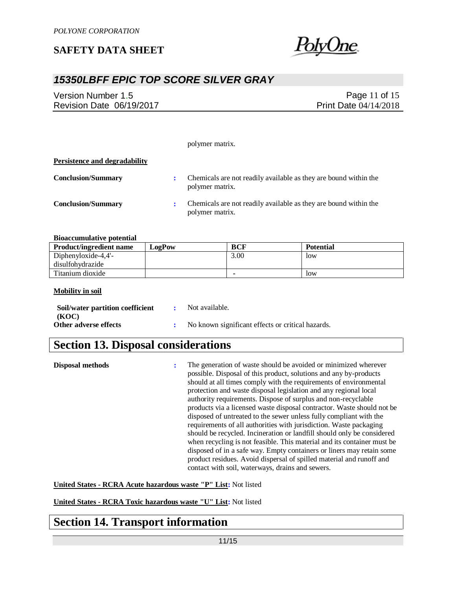

## *15350LBFF EPIC TOP SCORE SILVER GRAY*

Version Number 1.5 Revision Date 06/19/2017

Page 11 of 15 Print Date 04/14/2018

polymer matrix.

## **Persistence and degradability**

| <b>Conclusion/Summary</b> | $\mathbf{r}$ | Chemicals are not readily available as they are bound within the<br>polymer matrix. |
|---------------------------|--------------|-------------------------------------------------------------------------------------|
| <b>Conclusion/Summary</b> |              | Chemicals are not readily available as they are bound within the<br>polymer matrix. |

#### **Bioaccumulative potential**

| <b>Product/ingredient name</b> | LogPow | BCF  | <b>Potential</b> |
|--------------------------------|--------|------|------------------|
| Diphenyloxide-4,4 $-$          |        | 3.00 | <b>low</b>       |
| disulfohydrazide               |        |      |                  |
| Titanium dioxide               |        |      | low              |

#### **Mobility in soil**

| Soil/water partition coefficient | Not available.                                    |
|----------------------------------|---------------------------------------------------|
| (KOC)<br>Other adverse effects   | No known significant effects or critical hazards. |

## **Section 13. Disposal considerations**

| Disposal methods | ÷ | The generation of waste should be avoided or minimized wherever<br>possible. Disposal of this product, solutions and any by-products<br>should at all times comply with the requirements of environmental<br>protection and waste disposal legislation and any regional local<br>authority requirements. Dispose of surplus and non-recyclable<br>products via a licensed waste disposal contractor. Waste should not be<br>disposed of untreated to the sewer unless fully compliant with the<br>requirements of all authorities with jurisdiction. Waste packaging<br>should be recycled. Incineration or landfill should only be considered<br>when recycling is not feasible. This material and its container must be<br>disposed of in a safe way. Empty containers or liners may retain some<br>product residues. Avoid dispersal of spilled material and runoff and |
|------------------|---|----------------------------------------------------------------------------------------------------------------------------------------------------------------------------------------------------------------------------------------------------------------------------------------------------------------------------------------------------------------------------------------------------------------------------------------------------------------------------------------------------------------------------------------------------------------------------------------------------------------------------------------------------------------------------------------------------------------------------------------------------------------------------------------------------------------------------------------------------------------------------|
|                  |   | contact with soil, waterways, drains and sewers.                                                                                                                                                                                                                                                                                                                                                                                                                                                                                                                                                                                                                                                                                                                                                                                                                           |

**United States - RCRA Acute hazardous waste "P" List:** Not listed

**United States - RCRA Toxic hazardous waste "U" List:** Not listed

## **Section 14. Transport information**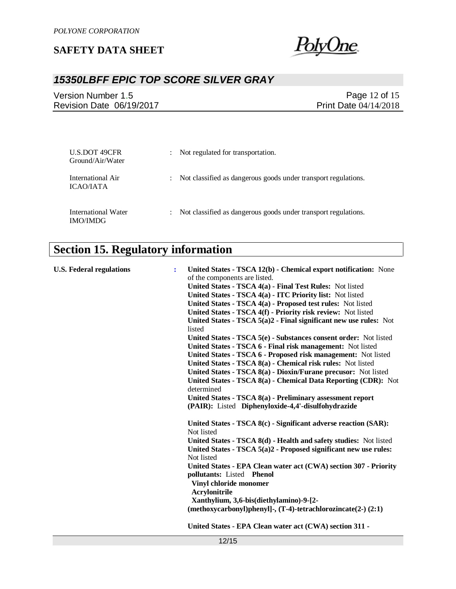

## *15350LBFF EPIC TOP SCORE SILVER GRAY*

Version Number 1.5 Revision Date 06/19/2017

Page 12 of 15 Print Date 04/14/2018

| U.S.DOT 49CFR<br>Ground/Air/Water             |                      | Not regulated for transportation.                              |
|-----------------------------------------------|----------------------|----------------------------------------------------------------|
| International Air<br><b>ICAO/IATA</b>         | $\ddot{\phantom{0}}$ | Not classified as dangerous goods under transport regulations. |
| <b>International Water</b><br><b>IMO/IMDG</b> | $\ddot{\phantom{0}}$ | Not classified as dangerous goods under transport regulations. |

# **Section 15. Regulatory information**

| <b>U.S. Federal regulations</b> | ÷ | United States - TSCA 12(b) - Chemical export notification: None                |
|---------------------------------|---|--------------------------------------------------------------------------------|
|                                 |   | of the components are listed.                                                  |
|                                 |   | United States - TSCA 4(a) - Final Test Rules: Not listed                       |
|                                 |   | United States - TSCA 4(a) - ITC Priority list: Not listed                      |
|                                 |   | United States - TSCA 4(a) - Proposed test rules: Not listed                    |
|                                 |   | United States - TSCA 4(f) - Priority risk review: Not listed                   |
|                                 |   | United States - TSCA $5(a)2$ - Final significant new use rules: Not<br>listed  |
|                                 |   | United States - TSCA 5(e) - Substances consent order: Not listed               |
|                                 |   | United States - TSCA 6 - Final risk management: Not listed                     |
|                                 |   | United States - TSCA 6 - Proposed risk management: Not listed                  |
|                                 |   | United States - TSCA 8(a) - Chemical risk rules: Not listed                    |
|                                 |   | United States - TSCA 8(a) - Dioxin/Furane precusor: Not listed                 |
|                                 |   | United States - TSCA 8(a) - Chemical Data Reporting (CDR): Not                 |
|                                 |   | determined                                                                     |
|                                 |   | United States - TSCA 8(a) - Preliminary assessment report                      |
|                                 |   | (PAIR): Listed Diphenyloxide-4,4'-disulfohydrazide                             |
|                                 |   | United States - TSCA 8(c) - Significant adverse reaction (SAR):                |
|                                 |   | Not listed                                                                     |
|                                 |   | United States - TSCA 8(d) - Health and safety studies: Not listed              |
|                                 |   | United States - TSCA 5(a)2 - Proposed significant new use rules:<br>Not listed |
|                                 |   | United States - EPA Clean water act (CWA) section 307 - Priority               |
|                                 |   | pollutants: Listed Phenol                                                      |
|                                 |   | Vinyl chloride monomer<br>Acrylonitrile                                        |
|                                 |   | Xanthylium, 3,6-bis(diethylamino)-9-[2-                                        |
|                                 |   | $(methoxycarbonyl)phenyl-$ , $(T-4)$ -tetrachlorozincate $(2-)$ $(2:1)$        |
|                                 |   | United States - EPA Clean water act (CWA) section 311 -                        |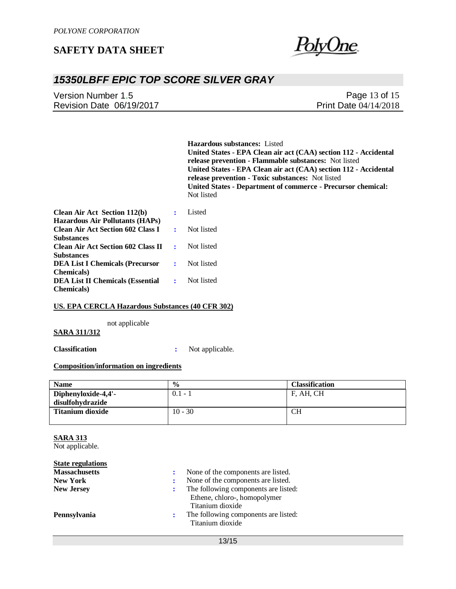

## *15350LBFF EPIC TOP SCORE SILVER GRAY*

| Version Number 1.5       | Page 13 of 15                |
|--------------------------|------------------------------|
| Revision Date 06/19/2017 | <b>Print Date 04/14/2018</b> |

**Hazardous substances:** Listed **United States - EPA Clean air act (CAA) section 112 - Accidental release prevention - Flammable substances:** Not listed **United States - EPA Clean air act (CAA) section 112 - Accidental release prevention - Toxic substances:** Not listed **United States - Department of commerce - Precursor chemical:**  Not listed

| <b>Clean Air Act Section 112(b)</b>                                                | $\mathbf{r}$                | Listed     |
|------------------------------------------------------------------------------------|-----------------------------|------------|
| <b>Hazardous Air Pollutants (HAPs)</b><br><b>Clean Air Act Section 602 Class I</b> | $\bullet$ .                 | Not listed |
| <b>Substances</b><br><b>Clean Air Act Section 602 Class II</b>                     | $\sim 200$                  | Not listed |
| <b>Substances</b><br><b>DEA List I Chemicals (Precursor</b>                        | $\mathcal{L}^{\mathcal{L}}$ | Not listed |
| <b>Chemicals</b> )<br><b>DEA List II Chemicals (Essential</b>                      | $\mathbf{R}$                | Not listed |
| <b>Chemicals</b> )                                                                 |                             |            |

#### **US. EPA CERCLA Hazardous Substances (40 CFR 302)**

not applicable

#### **SARA 311/312**

**Classification :** Not applicable.

### **Composition/information on ingredients**

| <b>Name</b>             | $\frac{0}{0}$ | <b>Classification</b> |
|-------------------------|---------------|-----------------------|
| Diphenyloxide-4,4'-     | $0.1 - 1$     | F, AH, CH             |
| disulfohydrazide        |               |                       |
| <b>Titanium dioxide</b> | $10 - 30$     | CН                    |
|                         |               |                       |

### **SARA 313**

Not applicable.

| <b>State regulations</b> |   |                                                          |
|--------------------------|---|----------------------------------------------------------|
| <b>Massachusetts</b>     |   | None of the components are listed.                       |
| <b>New York</b>          |   | None of the components are listed.                       |
| <b>New Jersey</b>        |   | The following components are listed:                     |
|                          |   | Ethene, chloro-, homopolymer<br>Titanium dioxide         |
| Pennsylvania             | ÷ | The following components are listed:<br>Titanium dioxide |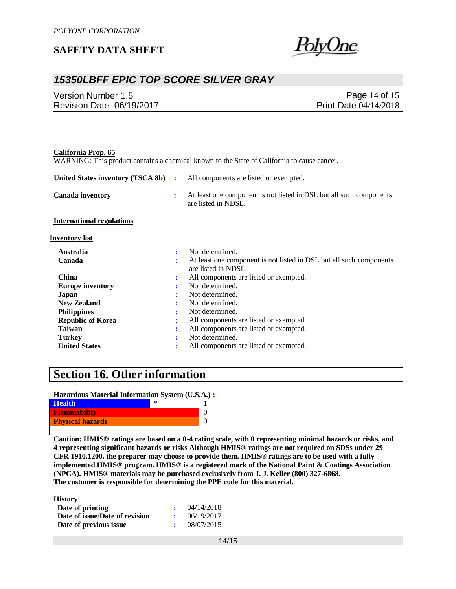

## *15350LBFF EPIC TOP SCORE SILVER GRAY*

| Version Number 1.5       | Page 14 of 15                |
|--------------------------|------------------------------|
| Revision Date 06/19/2017 | <b>Print Date 04/14/2018</b> |

| California Prop. 65               |                | WARNING: This product contains a chemical known to the State of California to cause cancer. |
|-----------------------------------|----------------|---------------------------------------------------------------------------------------------|
| United States inventory (TSCA 8b) | $\ddot{\cdot}$ | All components are listed or exempted.                                                      |
| <b>Canada inventory</b>           | $\ddot{\cdot}$ | At least one component is not listed in DSL but all such components<br>are listed in NDSL.  |
| <b>International regulations</b>  |                |                                                                                             |
| <b>Inventory list</b>             |                |                                                                                             |
| <b>Australia</b>                  | ÷              | Not determined.                                                                             |
| Canada                            | ÷              | At least one component is not listed in DSL but all such components<br>are listed in NDSL.  |
| <b>China</b>                      | :              | All components are listed or exempted.                                                      |
| <b>Europe inventory</b>           |                | Not determined.                                                                             |
| Japan                             |                | Not determined.                                                                             |
| <b>New Zealand</b>                |                | Not determined.                                                                             |
| <b>Philippines</b>                |                | Not determined.                                                                             |
| <b>Republic of Korea</b>          |                | All components are listed or exempted.                                                      |
| <b>Taiwan</b>                     |                | All components are listed or exempted.                                                      |
| <b>Turkey</b>                     |                | Not determined.                                                                             |
| <b>United States</b>              |                | All components are listed or exempted.                                                      |

## **Section 16. Other information**

**Hazardous Material Information System (U.S.A.) :**

| <b>Health</b>           |  |  |
|-------------------------|--|--|
| <b>Flammability</b>     |  |  |
| <b>Physical hazards</b> |  |  |
|                         |  |  |

**Caution: HMIS® ratings are based on a 0-4 rating scale, with 0 representing minimal hazards or risks, and 4 representing significant hazards or risks Although HMIS® ratings are not required on SDSs under 29 CFR 1910.1200, the preparer may choose to provide them. HMIS® ratings are to be used with a fully implemented HMIS® program. HMIS® is a registered mark of the National Paint & Coatings Association (NPCA). HMIS® materials may be purchased exclusively from J. J. Keller (800) 327-6868. The customer is responsible for determining the PPE code for this material.**

**History**

| AANJUUA Y                      |            |
|--------------------------------|------------|
| Date of printing               | 04/14/2018 |
| Date of issue/Date of revision | 06/19/2017 |
| Date of previous issue         | 08/07/2015 |
|                                |            |